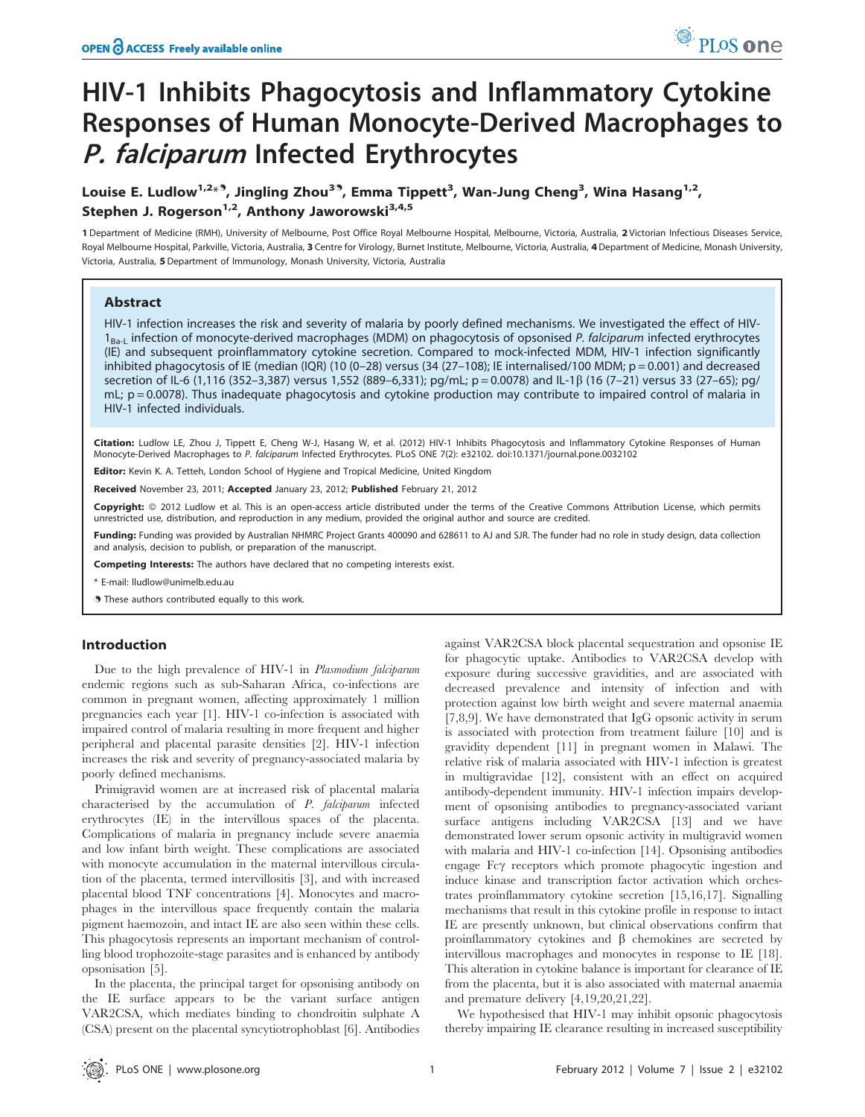# HIV-1 Inhibits Phagocytosis and Inflammatory Cytokine Responses of Human Monocyte-Derived Macrophages to P. falciparum Infected Erythrocytes

# Louise E. Ludlow<sup>1,2<sub>\*</sub>9, Jingling Zhou<sup>39</sup>, Emma Tippett<sup>3</sup>, Wan-Jung Cheng<sup>3</sup>, Wina Hasang<sup>1,2</sup>,</sup> Stephen J. Rogerson<sup>1,2</sup>, Anthony Jaworowski<sup>3,4,5</sup>

1 Department of Medicine (RMH), University of Melbourne, Post Office Royal Melbourne Hospital, Melbourne, Victoria, Australia, 2 Victorian Infectious Diseases Service, Royal Melbourne Hospital, Parkville, Victoria, Australia, 3 Centre for Virology, Burnet Institute, Melbourne, Victoria, Australia, 4 Department of Medicine, Monash University, Victoria, Australia, 5 Department of Immunology, Monash University, Victoria, Australia

# Abstract

HIV-1 infection increases the risk and severity of malaria by poorly defined mechanisms. We investigated the effect of HIV- $1_{\text{Ba}-L}$  infection of monocyte-derived macrophages (MDM) on phagocytosis of opsonised P. falciparum infected erythrocytes (IE) and subsequent proinflammatory cytokine secretion. Compared to mock-infected MDM, HIV-1 infection significantly inhibited phagocytosis of IE (median (IQR) (10 (0-28) versus (34 (27-108); IE internalised/100 MDM; p = 0.001) and decreased secretion of IL-6 (1,116 (352–3,387) versus 1,552 (889–6,331); pg/mL; p = 0.0078) and IL-1b (16 (7–21) versus 33 (27–65); pg/ mL;  $p = 0.0078$ ). Thus inadequate phagocytosis and cytokine production may contribute to impaired control of malaria in HIV-1 infected individuals.

Citation: Ludlow LE, Zhou J, Tippett E, Cheng W-J, Hasang W, et al. (2012) HIV-1 Inhibits Phagocytosis and Inflammatory Cytokine Responses of Human Monocyte-Derived Macrophages to P. falciparum Infected Erythrocytes. PLoS ONE 7(2): e32102. doi:10.1371/journal.pone.0032102

Editor: Kevin K. A. Tetteh, London School of Hygiene and Tropical Medicine, United Kingdom

Received November 23, 2011; Accepted January 23, 2012; Published February 21, 2012

**Copyright:** © 2012 Ludlow et al. This is an open-access article distributed under the terms of the Creative Commons Attribution License, which permits unrestricted use, distribution, and reproduction in any medium, provided the original author and source are credited.

Funding: Funding was provided by Australian NHMRC Project Grants 400090 and 628611 to AJ and SJR. The funder had no role in study design, data collection and analysis, decision to publish, or preparation of the manuscript.

Competing Interests: The authors have declared that no competing interests exist.

\* E-mail: lludlow@unimelb.edu.au

**.** These authors contributed equally to this work.

# Introduction

Due to the high prevalence of HIV-1 in Plasmodium falciparum endemic regions such as sub-Saharan Africa, co-infections are common in pregnant women, affecting approximately 1 million pregnancies each year [1]. HIV-1 co-infection is associated with impaired control of malaria resulting in more frequent and higher peripheral and placental parasite densities [2]. HIV-1 infection increases the risk and severity of pregnancy-associated malaria by poorly defined mechanisms.

Primigravid women are at increased risk of placental malaria characterised by the accumulation of P. falciparum infected erythrocytes (IE) in the intervillous spaces of the placenta. Complications of malaria in pregnancy include severe anaemia and low infant birth weight. These complications are associated with monocyte accumulation in the maternal intervillous circulation of the placenta, termed intervillositis [3], and with increased placental blood TNF concentrations [4]. Monocytes and macrophages in the intervillous space frequently contain the malaria pigment haemozoin, and intact IE are also seen within these cells. This phagocytosis represents an important mechanism of controlling blood trophozoite-stage parasites and is enhanced by antibody opsonisation [5].

In the placenta, the principal target for opsonising antibody on the IE surface appears to be the variant surface antigen VAR2CSA, which mediates binding to chondroitin sulphate A (CSA) present on the placental syncytiotrophoblast [6]. Antibodies against VAR2CSA block placental sequestration and opsonise IE for phagocytic uptake. Antibodies to VAR2CSA develop with exposure during successive gravidities, and are associated with decreased prevalence and intensity of infection and with protection against low birth weight and severe maternal anaemia [7,8,9]. We have demonstrated that IgG opsonic activity in serum is associated with protection from treatment failure [10] and is gravidity dependent [11] in pregnant women in Malawi. The relative risk of malaria associated with HIV-1 infection is greatest in multigravidae [12], consistent with an effect on acquired antibody-dependent immunity. HIV-1 infection impairs development of opsonising antibodies to pregnancy-associated variant surface antigens including VAR2CSA [13] and we have demonstrated lower serum opsonic activity in multigravid women with malaria and HIV-1 co-infection [14]. Opsonising antibodies engage Fc $\gamma$  receptors which promote phagocytic ingestion and induce kinase and transcription factor activation which orchestrates proinflammatory cytokine secretion [15,16,17]. Signalling mechanisms that result in this cytokine profile in response to intact IE are presently unknown, but clinical observations confirm that proinflammatory cytokines and  $\beta$  chemokines are secreted by intervillous macrophages and monocytes in response to IE [18]. This alteration in cytokine balance is important for clearance of IE from the placenta, but it is also associated with maternal anaemia and premature delivery [4,19,20,21,22].

We hypothesised that HIV-1 may inhibit opsonic phagocytosis thereby impairing IE clearance resulting in increased susceptibility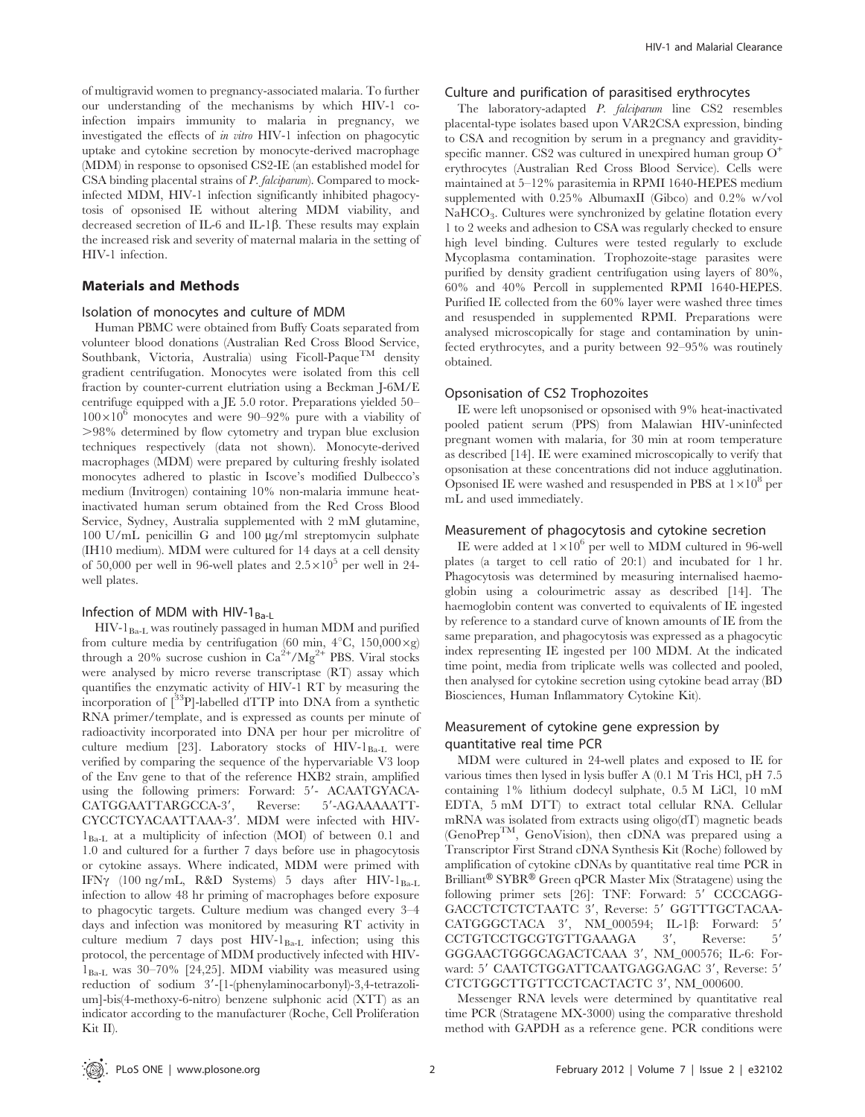of multigravid women to pregnancy-associated malaria. To further our understanding of the mechanisms by which HIV-1 coinfection impairs immunity to malaria in pregnancy, we investigated the effects of in vitro HIV-1 infection on phagocytic uptake and cytokine secretion by monocyte-derived macrophage (MDM) in response to opsonised CS2-IE (an established model for CSA binding placental strains of P. falciparum). Compared to mockinfected MDM, HIV-1 infection significantly inhibited phagocytosis of opsonised IE without altering MDM viability, and decreased secretion of IL-6 and IL-1 $\beta$ . These results may explain the increased risk and severity of maternal malaria in the setting of HIV-1 infection.

### Materials and Methods

#### Isolation of monocytes and culture of MDM

Human PBMC were obtained from Buffy Coats separated from volunteer blood donations (Australian Red Cross Blood Service, Southbank, Victoria, Australia) using Ficoll-Paque<sup>TM</sup> density gradient centrifugation. Monocytes were isolated from this cell fraction by counter-current elutriation using a Beckman J-6M/E centrifuge equipped with a JE 5.0 rotor. Preparations yielded 50–  $100\times10^{6}$  monocytes and were 90–92% pure with a viability of .98% determined by flow cytometry and trypan blue exclusion techniques respectively (data not shown). Monocyte-derived macrophages (MDM) were prepared by culturing freshly isolated monocytes adhered to plastic in Iscove's modified Dulbecco's medium (Invitrogen) containing 10% non-malaria immune heatinactivated human serum obtained from the Red Cross Blood Service, Sydney, Australia supplemented with 2 mM glutamine, 100 U/mL penicillin G and 100  $\mu$ g/ml streptomycin sulphate (IH10 medium). MDM were cultured for 14 days at a cell density of 50,000 per well in 96-well plates and  $2.5 \times 10^5$  per well in 24well plates.

# Infection of MDM with HIV-1 $_{Ba-L}$

 $HIV-1_{Ba-L}$  was routinely passaged in human MDM and purified from culture media by centrifugation (60 min,  $4^{\circ}$ C, 150,000 $\times$ g) through a 20% sucrose cushion in  $Ca^{2+}/Mg^{2+}$  PBS. Viral stocks were analysed by micro reverse transcriptase (RT) assay which quantifies the enzymatic activity of HIV-1 RT by measuring the incorporation of  $\int^{33}P$ ]-labelled dTTP into DNA from a synthetic RNA primer/template, and is expressed as counts per minute of radioactivity incorporated into DNA per hour per microlitre of culture medium [23]. Laboratory stocks of  $HIV-I<sub>Ba-L</sub>$  were verified by comparing the sequence of the hypervariable V3 loop of the Env gene to that of the reference HXB2 strain, amplified using the following primers: Forward: 5'- ACAATGYACA-CATGGAATTARGCCA-3', Reverse: 5'-AGAAAAAATT-CYCCTCYACAATTAAA-3'. MDM were infected with HIV- $1_{Ba-I}$  at a multiplicity of infection (MOI) of between 0.1 and 1.0 and cultured for a further 7 days before use in phagocytosis or cytokine assays. Where indicated, MDM were primed with IFNy (100 ng/mL, R&D Systems) 5 days after HIV-1 $_{Ba-I}$ infection to allow 48 hr priming of macrophages before exposure to phagocytic targets. Culture medium was changed every 3–4 days and infection was monitored by measuring RT activity in culture medium 7 days post HIV-1<sub>Ba-L</sub> infection; using this protocol, the percentage of MDM productively infected with HIV- $1_{Ba-L}$  was 30-70% [24,25]. MDM viability was measured using reduction of sodium 3'-[1-(phenylaminocarbonyl)-3,4-tetrazolium]-bis(4-methoxy-6-nitro) benzene sulphonic acid (XTT) as an indicator according to the manufacturer (Roche, Cell Proliferation Kit II).

#### Culture and purification of parasitised erythrocytes

The laboratory-adapted P. falciparum line CS2 resembles placental-type isolates based upon VAR2CSA expression, binding to CSA and recognition by serum in a pregnancy and gravidityspecific manner. CS2 was cultured in unexpired human group  $O<sup>+</sup>$ erythrocytes (Australian Red Cross Blood Service). Cells were maintained at 5–12% parasitemia in RPMI 1640-HEPES medium supplemented with 0.25% AlbumaxII (Gibco) and 0.2% w/vol NaHCO<sub>3</sub>. Cultures were synchronized by gelatine flotation every 1 to 2 weeks and adhesion to CSA was regularly checked to ensure high level binding. Cultures were tested regularly to exclude Mycoplasma contamination. Trophozoite-stage parasites were purified by density gradient centrifugation using layers of 80%, 60% and 40% Percoll in supplemented RPMI 1640-HEPES. Purified IE collected from the 60% layer were washed three times and resuspended in supplemented RPMI. Preparations were analysed microscopically for stage and contamination by uninfected erythrocytes, and a purity between 92–95% was routinely obtained.

#### Opsonisation of CS2 Trophozoites

IE were left unopsonised or opsonised with 9% heat-inactivated pooled patient serum (PPS) from Malawian HIV-uninfected pregnant women with malaria, for 30 min at room temperature as described [14]. IE were examined microscopically to verify that opsonisation at these concentrations did not induce agglutination. Opsonised IE were washed and resuspended in PBS at  $1\times10^8$  per mL and used immediately.

# Measurement of phagocytosis and cytokine secretion

IE were added at  $1\times10^6$  per well to MDM cultured in 96-well plates (a target to cell ratio of 20:1) and incubated for 1 hr. Phagocytosis was determined by measuring internalised haemoglobin using a colourimetric assay as described [14]. The haemoglobin content was converted to equivalents of IE ingested by reference to a standard curve of known amounts of IE from the same preparation, and phagocytosis was expressed as a phagocytic index representing IE ingested per 100 MDM. At the indicated time point, media from triplicate wells was collected and pooled, then analysed for cytokine secretion using cytokine bead array (BD Biosciences, Human Inflammatory Cytokine Kit).

# Measurement of cytokine gene expression by quantitative real time PCR

MDM were cultured in 24-well plates and exposed to IE for various times then lysed in lysis buffer A (0.1 M Tris HCl, pH 7.5 containing 1% lithium dodecyl sulphate, 0.5 M LiCl, 10 mM EDTA, 5 mM DTT) to extract total cellular RNA. Cellular mRNA was isolated from extracts using oligo(dT) magnetic beads (GenoPrepTM, GenoVision), then cDNA was prepared using a Transcriptor First Strand cDNA Synthesis Kit (Roche) followed by amplification of cytokine cDNAs by quantitative real time PCR in Brilliant<sup>®</sup> SYBR<sup>®</sup> Green qPCR Master Mix (Stratagene) using the following primer sets [26]: TNF: Forward: 5' CCCCAGG-GACCTCTCTCTAATC 3', Reverse: 5' GGTTTGCTACAA-CATGGGCTACA  $3'$ , NM\_000594; IL-1 $\beta$ : Forward: 5' CCTGTCCTGCGTGTTGAAAGA 3', Reverse: 5' GGGAACTGGGCAGACTCAAA 3', NM\_000576; IL-6: Forward: 5' CAATCTGGATTCAATGAGGAGAC 3', Reverse: 5' CTCTGGCTTGTTCCTCACTACTC 3', NM\_000600.

Messenger RNA levels were determined by quantitative real time PCR (Stratagene MX-3000) using the comparative threshold method with GAPDH as a reference gene. PCR conditions were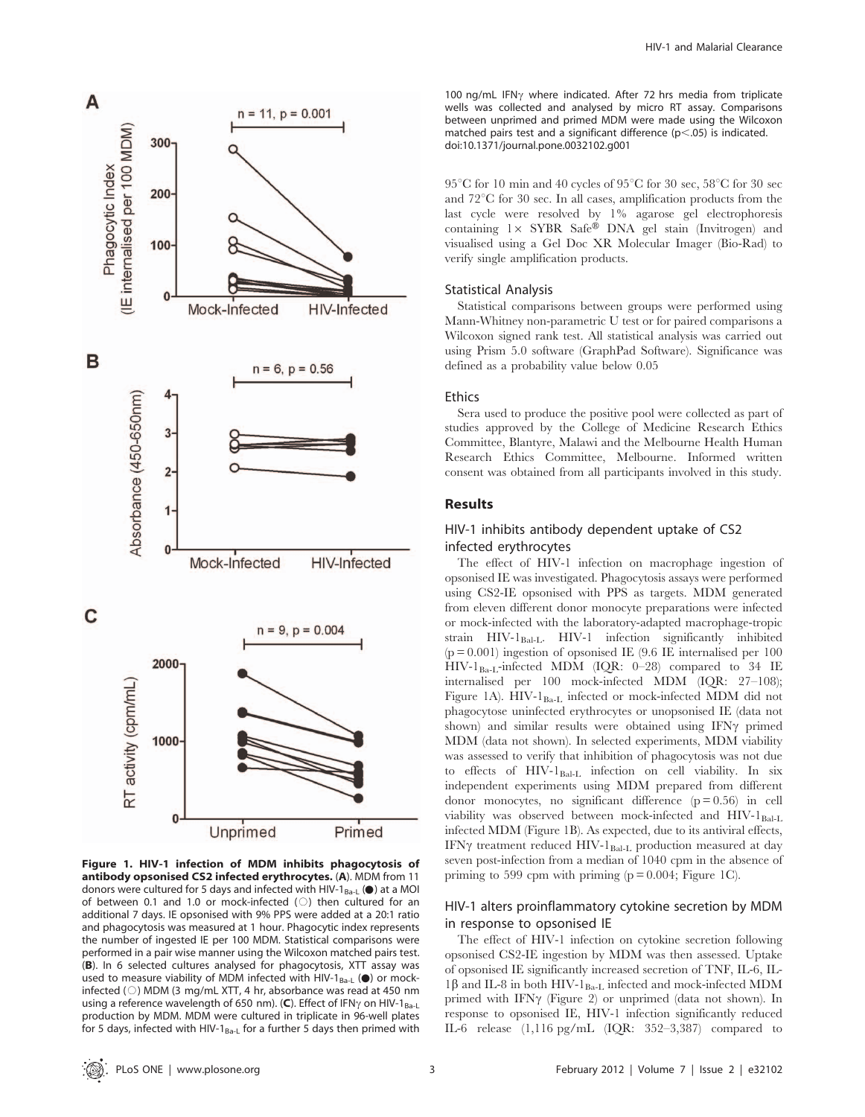

Figure 1. HIV-1 infection of MDM inhibits phagocytosis of antibody opsonised CS2 infected erythrocytes. (A). MDM from 11 **antibody opsonised CS2 infected erythrocytes.** (A). MDM from 11 donors were cultured for 5 days and infected with HIV-1 $_{Ba-L}$  ( $\bullet$ ) at a MOI of between 0.1 and 1.0 or mock-infected ( $\circ$ ) then cultured for an additional 7 days. IE opsonised with 9% PPS were added at a 20:1 ratio and phagocytosis was measured at 1 hour. Phagocytic index represents the number of ingested IE per 100 MDM. Statistical comparisons were performed in a pair wise manner using the Wilcoxon matched pairs test. (B). In 6 selected cultures analysed for phagocytosis, XTT assay was **(B)**. In 6 selected cultures analysed for phagocytosis, XTT assay was used to measure viability of MDM infected with HIV-1 $_{Ba-L}$  ( $\bullet$ ) or mockinfected ( $\circ$ ) MDM (3 mg/mL XTT, 4 hr, absorbance was read at 450 nm using a reference wavelength of 650 nm). (C). Effect of IFN $\gamma$  on HIV-1<sub>Ba-L</sub> production by MDM. MDM were cultured in triplicate in 96-well plates for 5 days, infected with HIV-1 $_{Ba-L}$  for a further 5 days then primed with

100 ng/mL IFN $\gamma$  where indicated. After 72 hrs media from triplicate wells was collected and analysed by micro RT assay. Comparisons between unprimed and primed MDM were made using the Wilcoxon matched pairs test and a significant difference  $(p<.05)$  is indicated. doi:10.1371/journal.pone.0032102.g001

 $95^{\circ}$ C for 10 min and 40 cycles of  $95^{\circ}$ C for 30 sec,  $58^{\circ}$ C for 30 sec and  $72^{\circ}$ C for 30 sec. In all cases, amplification products from the last cycle were resolved by 1% agarose gel electrophoresis containing  $1 \times$  SYBR Safe® DNA gel stain (Invitrogen) and visualised using a Gel Doc XR Molecular Imager (Bio-Rad) to verify single amplification products.

#### Statistical Analysis

Statistical comparisons between groups were performed using Mann-Whitney non-parametric U test or for paired comparisons a Wilcoxon signed rank test. All statistical analysis was carried out using Prism 5.0 software (GraphPad Software). Significance was defined as a probability value below 0.05

#### Ethics

Sera used to produce the positive pool were collected as part of studies approved by the College of Medicine Research Ethics Committee, Blantyre, Malawi and the Melbourne Health Human Research Ethics Committee, Melbourne. Informed written consent was obtained from all participants involved in this study.

# Results

# HIV-1 inhibits antibody dependent uptake of CS2 infected erythrocytes

The effect of HIV-1 infection on macrophage ingestion of opsonised IE was investigated. Phagocytosis assays were performed using CS2-IE opsonised with PPS as targets. MDM generated from eleven different donor monocyte preparations were infected or mock-infected with the laboratory-adapted macrophage-tropic strain HIV-1<sub>Bal-L</sub>. HIV-1 infection significantly inhibited  $\left( {\rm p} = 0.001 \right)$  ingestion of opsonised IE (9.6 IE internalised per 100 HIV-1 $_{Ba-L}$ -infected MDM (IQR: 0–28) compared to 34 IE internalised per 100 mock-infected MDM (IQR: 27–108); Figure 1A). HIV-1<sub>Ba-L</sub> infected or mock-infected MDM did not phagocytose uninfected erythrocytes or unopsonised IE (data not shown) and similar results were obtained using IFN $\gamma$  primed MDM (data not shown). In selected experiments, MDM viability was assessed to verify that inhibition of phagocytosis was not due to effects of  $HIV-I<sub>Bal-L</sub>$  infection on cell viability. In six independent experiments using MDM prepared from different donor monocytes, no significant difference  $(p = 0.56)$  in cell viability was observed between mock-infected and  $HIV-I<sub>Bal-L</sub>$ infected MDM (Figure 1B). As expected, due to its antiviral effects, IFN $\gamma$  treatment reduced HIV-1<sub>Bal-L</sub> production measured at day seven post-infection from a median of 1040 cpm in the absence of priming to 599 cpm with priming  $(p = 0.004;$  Figure 1C).

# HIV-1 alters proinflammatory cytokine secretion by MDM in response to opsonised IE

The effect of HIV-1 infection on cytokine secretion following opsonised CS2-IE ingestion by MDM was then assessed. Uptake of opsonised IE significantly increased secretion of TNF, IL-6, IL- $1\beta$  and IL-8 in both HIV-1<sub>Ba-L</sub> infected and mock-infected MDM primed with IFN $\gamma$  (Figure 2) or unprimed (data not shown). In response to opsonised IE, HIV-1 infection significantly reduced IL-6 release (1,116 pg/mL (IQR: 352–3,387) compared to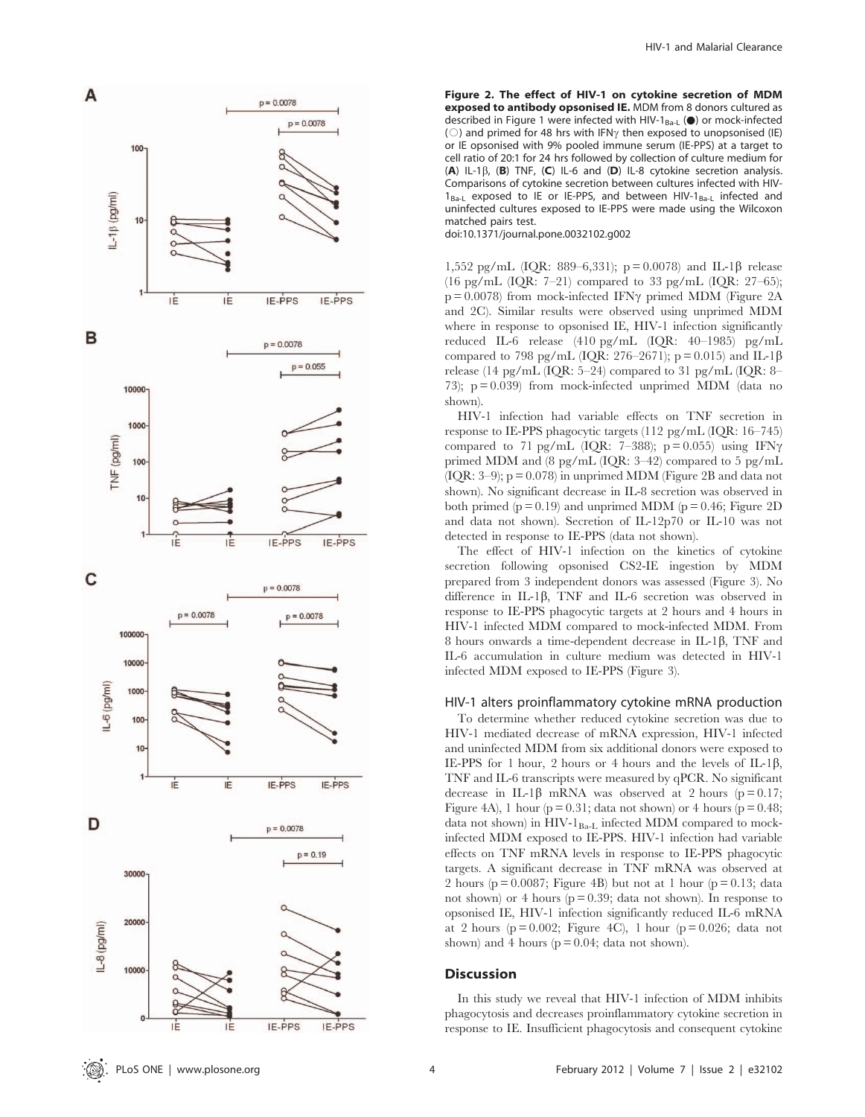

Figure 2. The effect of HIV-1 on cytokine secretion of MDM exposed to antibody opsonised IE. MDM from 8 donors cultured as **exposed to antibody opsonised IE.** MDM from 8 donors cultured as described in Figure 1 were infected with HIV-1 $_{Ba-L}$  ( $\bullet$ ) or mock-infected ( $\circ$ ) and primed for 48 hrs with IFN<sub>Y</sub> then exposed to unopsonised (IE) or IE opsonised with 9% pooled immune serum (IE-PPS) at a target to cell ratio of 20:1 for 24 hrs followed by collection of culture medium for  $(A)$  IL-1 $\beta$ ,  $(B)$  TNF,  $(C)$  IL-6 and  $(D)$  IL-8 cytokine secretion analysis. Comparisons of cytokine secretion between cultures infected with HIV- $1_{Ba-L}$  exposed to IE or IE-PPS, and between HIV- $1_{Ba-L}$  infected and uninfected cultures exposed to IE-PPS were made using the Wilcoxon matched pairs test.

doi:10.1371/journal.pone.0032102.g002

1,552 pg/mL (IQR: 889–6,331); p = 0.0078) and IL-1β release (16 pg/mL (IQR: 7–21) compared to 33 pg/mL (IQR: 27–65);  $p = 0.0078$ ) from mock-infected IFN $\gamma$  primed MDM (Figure 2A and 2C). Similar results were observed using unprimed MDM where in response to opsonised IE, HIV-1 infection significantly reduced IL-6 release (410 pg/mL (IQR: 40–1985) pg/mL compared to 798 pg/mL (IQR: 276–2671); p = 0.015) and IL-1 $\beta$ release (14 pg/mL (IQR: 5–24) compared to 31 pg/mL (IQR: 8– 73);  $p = 0.039$  from mock-infected unprimed MDM (data no shown).

HIV-1 infection had variable effects on TNF secretion in response to IE-PPS phagocytic targets (112 pg/mL (IQR: 16–745) compared to 71 pg/mL (IQR: 7-388);  $p = 0.055$ ) using IFN $\gamma$ primed MDM and (8 pg/mL (IQR: 3–42) compared to 5 pg/mL (IQR:  $3-9$ );  $p = 0.078$ ) in unprimed MDM (Figure 2B and data not shown). No significant decrease in IL-8 secretion was observed in both primed ( $p = 0.19$ ) and unprimed MDM ( $p = 0.46$ ; Figure 2D and data not shown). Secretion of IL-12p70 or IL-10 was not detected in response to IE-PPS (data not shown).

The effect of HIV-1 infection on the kinetics of cytokine secretion following opsonised CS2-IE ingestion by MDM prepared from 3 independent donors was assessed (Figure 3). No difference in IL-1 $\beta$ , TNF and IL-6 secretion was observed in response to IE-PPS phagocytic targets at 2 hours and 4 hours in HIV-1 infected MDM compared to mock-infected MDM. From 8 hours onwards a time-dependent decrease in IL-1 $\beta$ , TNF and IL-6 accumulation in culture medium was detected in HIV-1 infected MDM exposed to IE-PPS (Figure 3).

#### HIV-1 alters proinflammatory cytokine mRNA production

To determine whether reduced cytokine secretion was due to HIV-1 mediated decrease of mRNA expression, HIV-1 infected and uninfected MDM from six additional donors were exposed to IE-PPS for 1 hour, 2 hours or 4 hours and the levels of IL-1 $\beta$ , TNF and IL-6 transcripts were measured by qPCR. No significant decrease in IL-1 $\beta$  mRNA was observed at 2 hours (p = 0.17; Figure 4A), 1 hour ( $p = 0.31$ ; data not shown) or 4 hours ( $p = 0.48$ ; data not shown) in  $HIV-I<sub>Ba-I</sub>$  infected MDM compared to mockinfected MDM exposed to IE-PPS. HIV-1 infection had variable effects on TNF mRNA levels in response to IE-PPS phagocytic targets. A significant decrease in TNF mRNA was observed at 2 hours ( $p = 0.0087$ ; Figure 4B) but not at 1 hour ( $p = 0.13$ ; data not shown) or 4 hours ( $p = 0.39$ ; data not shown). In response to opsonised IE, HIV-1 infection significantly reduced IL-6 mRNA at 2 hours ( $p = 0.002$ ; Figure 4C), 1 hour ( $p = 0.026$ ; data not shown) and 4 hours ( $p = 0.04$ ; data not shown).

#### **Discussion**

In this study we reveal that HIV-1 infection of MDM inhibits phagocytosis and decreases proinflammatory cytokine secretion in response to IE. Insufficient phagocytosis and consequent cytokine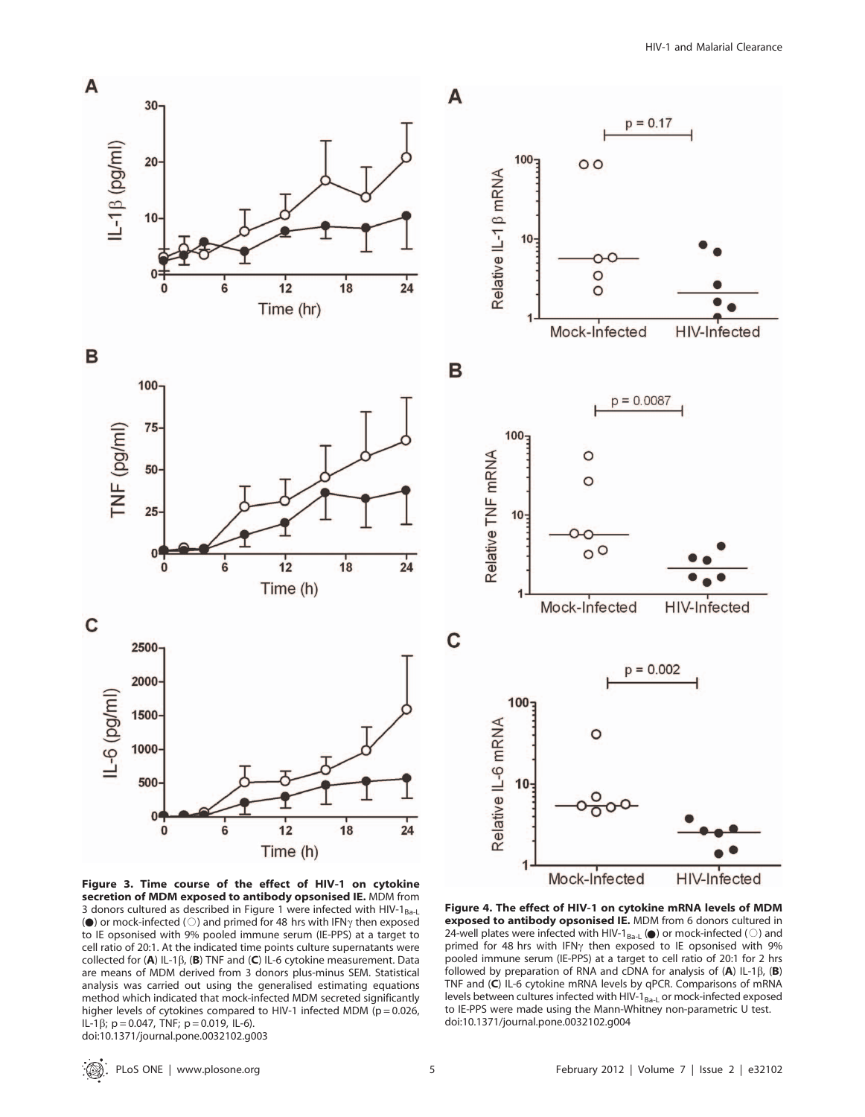

Figure 3. Time course of the effect of HIV-1 on cytokine secretion of MDM exposed to antibody opsonised IE. MDM from 3 donors cultured as described in Figure 1 were infected with HIV-1<sub>Ba-L</sub>(a) or mock-infected ( $\bigcirc$ ) and primed for 48 hrs with IFN<sub>7</sub> then exposed ( $\bullet$ ) or mock-infected ( $\circ$ ) and primed for 48 hrs with IFN $\gamma$  then exposed to IE opsonised with 9% pooled immune serum (IE-PPS) at a target to cell ratio of 20:1. At the indicated time points culture supernatants were collected for  $(A)$  IL-1 $\beta$ ,  $(B)$  TNF and  $(C)$  IL-6 cytokine measurement. Data are means of MDM derived from 3 donors plus-minus SEM. Statistical analysis was carried out using the generalised estimating equations method which indicated that mock-infected MDM secreted significantly higher levels of cytokines compared to HIV-1 infected MDM ( $p = 0.026$ , IL-1 $\beta$ ; p = 0.047, TNF; p = 0.019, IL-6). doi:10.1371/journal.pone.0032102.g003

Figure 4. The effect of HIV-1 on cytokine mRNA levels of MDM **exposed to antibody opsonised IE.** MDM from 6 donors cultured in 24-well plates were infected with HIV-1<sub>Ba-L</sub> ( $\bullet$ ) or mock-infected ( $\circ$ ) and 24-well plates were infected with HIV-1 $_{Ba-L}$  ( $\bullet$ ) or mock-infected ( $\circ$ ) and primed for 48 hrs with IFN<sub>Y</sub> then exposed to IE opsonised with 9% pooled immune serum (IE-PPS) at a target to cell ratio of 20:1 for 2 hrs followed by preparation of RNA and cDNA for analysis of  $(A)$  IL-1 $\beta$ ,  $(B)$ TNF and (C) IL-6 cytokine mRNA levels by qPCR. Comparisons of mRNA levels between cultures infected with HIV- $1_{Ba-L}$  or mock-infected exposed to IE-PPS were made using the Mann-Whitney non-parametric U test. doi:10.1371/journal.pone.0032102.g004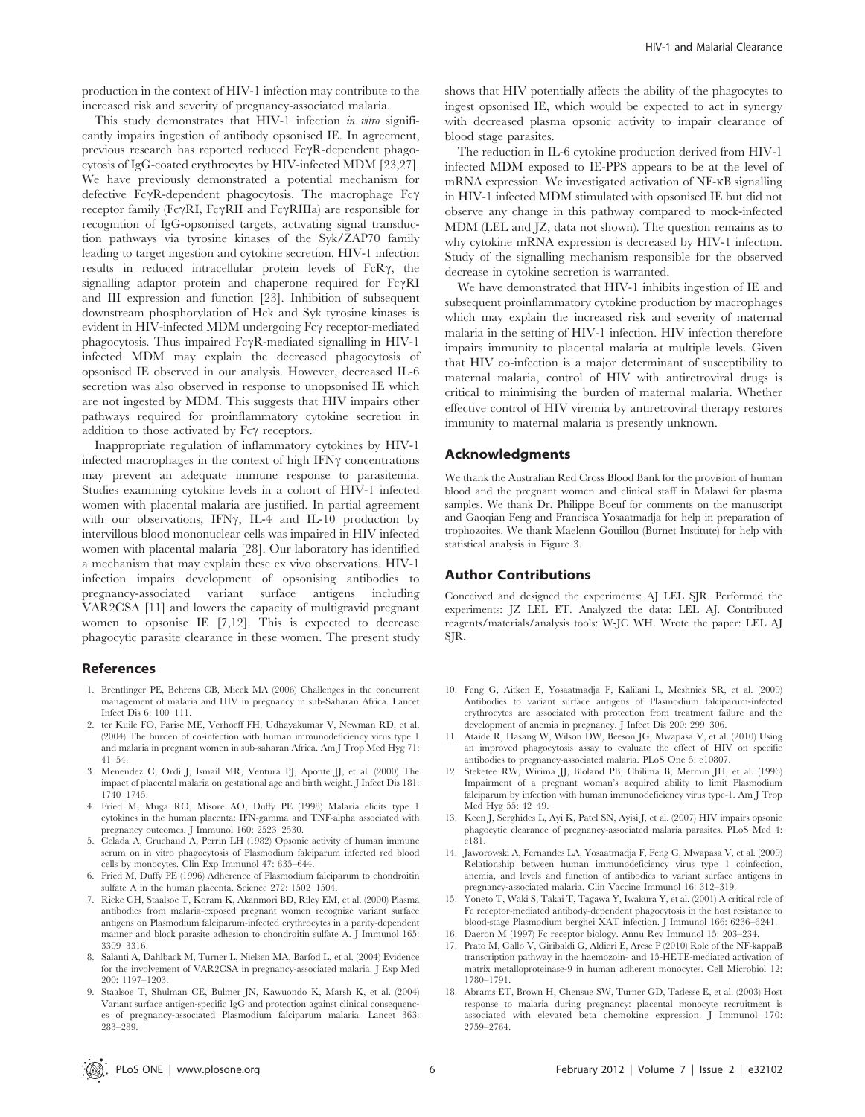production in the context of HIV-1 infection may contribute to the increased risk and severity of pregnancy-associated malaria.

This study demonstrates that HIV-1 infection in vitro significantly impairs ingestion of antibody opsonised IE. In agreement, previous research has reported reduced  $Fc\gamma R$ -dependent phagocytosis of IgG-coated erythrocytes by HIV-infected MDM [23,27]. We have previously demonstrated a potential mechanism for defective  $Fc\gamma R$ -dependent phagocytosis. The macrophage  $Fc\gamma$ receptor family (Fc $\gamma$ RI, Fc $\gamma$ RII and Fc $\gamma$ RIIIa) are responsible for recognition of IgG-opsonised targets, activating signal transduction pathways via tyrosine kinases of the Syk/ZAP70 family leading to target ingestion and cytokine secretion. HIV-1 infection results in reduced intracellular protein levels of  $FcR\gamma$ , the signalling adaptor protein and chaperone required for  $Fc\gamma RI$ and III expression and function [23]. Inhibition of subsequent downstream phosphorylation of Hck and Syk tyrosine kinases is evident in HIV-infected MDM undergoing  $Fc\gamma$  receptor-mediated  $phagocytosis.$  Thus impaired  $Fc\gamma R$ -mediated signalling in HIV-1 infected MDM may explain the decreased phagocytosis of opsonised IE observed in our analysis. However, decreased IL-6 secretion was also observed in response to unopsonised IE which are not ingested by MDM. This suggests that HIV impairs other pathways required for proinflammatory cytokine secretion in addition to those activated by Fc $\gamma$  receptors.

Inappropriate regulation of inflammatory cytokines by HIV-1 infected macrophages in the context of high IFN $\gamma$  concentrations may prevent an adequate immune response to parasitemia. Studies examining cytokine levels in a cohort of HIV-1 infected women with placental malaria are justified. In partial agreement with our observations, IFN $\gamma$ , IL-4 and IL-10 production by intervillous blood mononuclear cells was impaired in HIV infected women with placental malaria [28]. Our laboratory has identified a mechanism that may explain these ex vivo observations. HIV-1 infection impairs development of opsonising antibodies to pregnancy-associated variant surface antigens including VAR2CSA [11] and lowers the capacity of multigravid pregnant women to opsonise IE [7,12]. This is expected to decrease phagocytic parasite clearance in these women. The present study

#### References

- 1. Brentlinger PE, Behrens CB, Micek MA (2006) Challenges in the concurrent management of malaria and HIV in pregnancy in sub-Saharan Africa. Lancet Infect Dis 6: 100–111.
- 2. ter Kuile FO, Parise ME, Verhoeff FH, Udhayakumar V, Newman RD, et al. (2004) The burden of co-infection with human immunodeficiency virus type 1 and malaria in pregnant women in sub-saharan Africa. Am J Trop Med Hyg 71: 41–54.
- 3. Menendez C, Ordi J, Ismail MR, Ventura PJ, Aponte JJ, et al. (2000) The impact of placental malaria on gestational age and birth weight. J Infect Dis 181: 1740–1745.
- 4. Fried M, Muga RO, Misore AO, Duffy PE (1998) Malaria elicits type 1 cytokines in the human placenta: IFN-gamma and TNF-alpha associated with pregnancy outcomes. J Immunol 160: 2523–2530.
- 5. Celada A, Cruchaud A, Perrin LH (1982) Opsonic activity of human immune serum on in vitro phagocytosis of Plasmodium falciparum infected red blood cells by monocytes. Clin Exp Immunol 47: 635–644.
- 6. Fried M, Duffy PE (1996) Adherence of Plasmodium falciparum to chondroitin sulfate A in the human placenta. Science 272: 1502–1504.
- 7. Ricke CH, Staalsoe T, Koram K, Akanmori BD, Riley EM, et al. (2000) Plasma antibodies from malaria-exposed pregnant women recognize variant surface antigens on Plasmodium falciparum-infected erythrocytes in a parity-dependent manner and block parasite adhesion to chondroitin sulfate A. J Immunol 165: 3309–3316.
- 8. Salanti A, Dahlback M, Turner L, Nielsen MA, Barfod L, et al. (2004) Evidence for the involvement of VAR2CSA in pregnancy-associated malaria. J Exp Med 200: 1197–1203.
- 9. Staalsoe T, Shulman CE, Bulmer JN, Kawuondo K, Marsh K, et al. (2004) Variant surface antigen-specific IgG and protection against clinical consequences of pregnancy-associated Plasmodium falciparum malaria. Lancet 363: 283–289.

shows that HIV potentially affects the ability of the phagocytes to ingest opsonised IE, which would be expected to act in synergy with decreased plasma opsonic activity to impair clearance of blood stage parasites.

The reduction in IL-6 cytokine production derived from HIV-1 infected MDM exposed to IE-PPS appears to be at the level of mRNA expression. We investigated activation of NF-kB signalling in HIV-1 infected MDM stimulated with opsonised IE but did not observe any change in this pathway compared to mock-infected MDM (LEL and JZ, data not shown). The question remains as to why cytokine mRNA expression is decreased by HIV-1 infection. Study of the signalling mechanism responsible for the observed decrease in cytokine secretion is warranted.

We have demonstrated that HIV-1 inhibits ingestion of IE and subsequent proinflammatory cytokine production by macrophages which may explain the increased risk and severity of maternal malaria in the setting of HIV-1 infection. HIV infection therefore impairs immunity to placental malaria at multiple levels. Given that HIV co-infection is a major determinant of susceptibility to maternal malaria, control of HIV with antiretroviral drugs is critical to minimising the burden of maternal malaria. Whether effective control of HIV viremia by antiretroviral therapy restores immunity to maternal malaria is presently unknown.

# Acknowledgments

We thank the Australian Red Cross Blood Bank for the provision of human blood and the pregnant women and clinical staff in Malawi for plasma samples. We thank Dr. Philippe Boeuf for comments on the manuscript and Gaoqian Feng and Francisca Yosaatmadja for help in preparation of trophozoites. We thank Maelenn Gouillou (Burnet Institute) for help with statistical analysis in Figure 3.

#### Author Contributions

Conceived and designed the experiments: AJ LEL SJR. Performed the experiments: JZ LEL ET. Analyzed the data: LEL AJ. Contributed reagents/materials/analysis tools: W-JC WH. Wrote the paper: LEL AJ S<sub>IR</sub>

- 10. Feng G, Aitken E, Yosaatmadja F, Kalilani L, Meshnick SR, et al. (2009) Antibodies to variant surface antigens of Plasmodium falciparum-infected erythrocytes are associated with protection from treatment failure and the development of anemia in pregnancy. J Infect Dis 200: 299–306.
- 11. Ataide R, Hasang W, Wilson DW, Beeson JG, Mwapasa V, et al. (2010) Using an improved phagocytosis assay to evaluate the effect of HIV on specific antibodies to pregnancy-associated malaria. PLoS One 5: e10807.
- 12. Steketee RW, Wirima JJ, Bloland PB, Chilima B, Mermin JH, et al. (1996) Impairment of a pregnant woman's acquired ability to limit Plasmodium falciparum by infection with human immunodeficiency virus type-1. Am J Trop Med Hyg 55: 42–49.
- 13. Keen J, Serghides L, Ayi K, Patel SN, Ayisi J, et al. (2007) HIV impairs opsonic phagocytic clearance of pregnancy-associated malaria parasites. PLoS Med 4: e181.
- 14. Jaworowski A, Fernandes LA, Yosaatmadja F, Feng G, Mwapasa V, et al. (2009) Relationship between human immunodeficiency virus type 1 coinfection, anemia, and levels and function of antibodies to variant surface antigens in pregnancy-associated malaria. Clin Vaccine Immunol 16: 312–319.
- 15. Yoneto T, Waki S, Takai T, Tagawa Y, Iwakura Y, et al. (2001) A critical role of Fc receptor-mediated antibody-dependent phagocytosis in the host resistance to blood-stage Plasmodium berghei XAT infection. J Immunol 166: 6236–6241.
- 16. Daeron M (1997) Fc receptor biology. Annu Rev Immunol 15: 203–234.
- 17. Prato M, Gallo V, Giribaldi G, Aldieri E, Arese P (2010) Role of the NF-kappaB transcription pathway in the haemozoin- and 15-HETE-mediated activation of matrix metalloproteinase-9 in human adherent monocytes. Cell Microbiol 12: 1780–1791.
- 18. Abrams ET, Brown H, Chensue SW, Turner GD, Tadesse E, et al. (2003) Host response to malaria during pregnancy: placental monocyte recruitment is associated with elevated beta chemokine expression. J Immunol 170: 2759–2764.